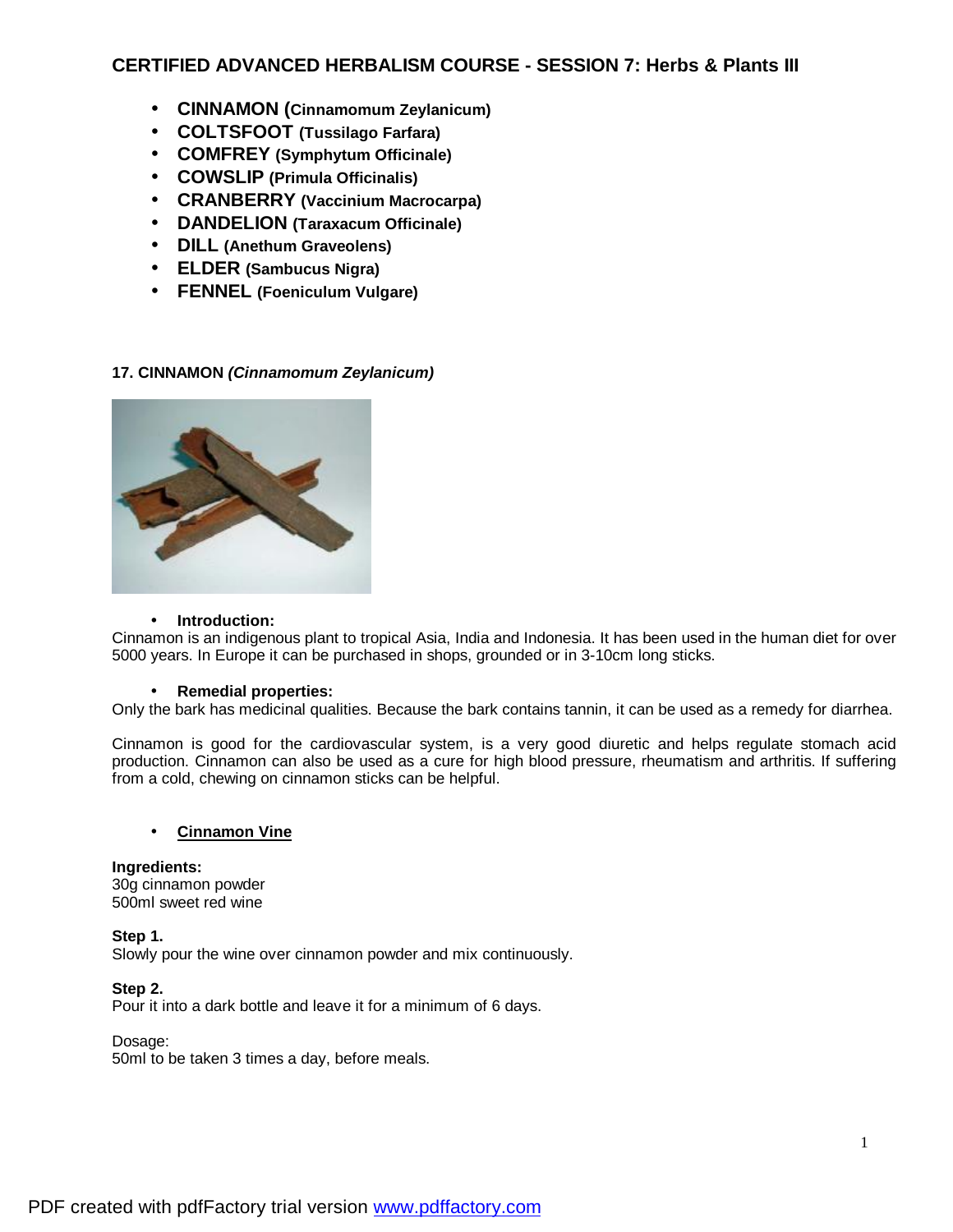# **CERTIFIED ADVANCED HERBALISM COURSE - SESSION 7: Herbs & Plants III**

- **CINNAMON (Cinnamomum Zeylanicum)**
- **COLTSFOOT (Tussilago Farfara)**
- **COMFREY (Symphytum Officinale)**
- **COWSLIP (Primula Officinalis)**
- **CRANBERRY (Vaccinium Macrocarpa)**
- **DANDELION (Taraxacum Officinale)**
- **DILL (Anethum Graveolens)**
- **ELDER (Sambucus Nigra)**
- **FENNEL (Foeniculum Vulgare)**

# **17. CINNAMON** *(Cinnamomum Zeylanicum)*



### • **Introduction:**

Cinnamon is an indigenous plant to tropical Asia, India and Indonesia. It has been used in the human diet for over 5000 years. In Europe it can be purchased in shops, grounded or in 3-10cm long sticks.

### • **Remedial properties:**

Only the bark has medicinal qualities. Because the bark contains tannin, it can be used as a remedy for diarrhea.

Cinnamon is good for the cardiovascular system, is a very good diuretic and helps regulate stomach acid production. Cinnamon can also be used as a cure for high blood pressure, rheumatism and arthritis. If suffering from a cold, chewing on cinnamon sticks can be helpful.

# • **Cinnamon Vine**

**Ingredients:**  30g cinnamon powder 500ml sweet red wine

**Step 1.**  Slowly pour the wine over cinnamon powder and mix continuously.

### **Step 2.**

Pour it into a dark bottle and leave it for a minimum of 6 days.

### Dosage:

50ml to be taken 3 times a day, before meals.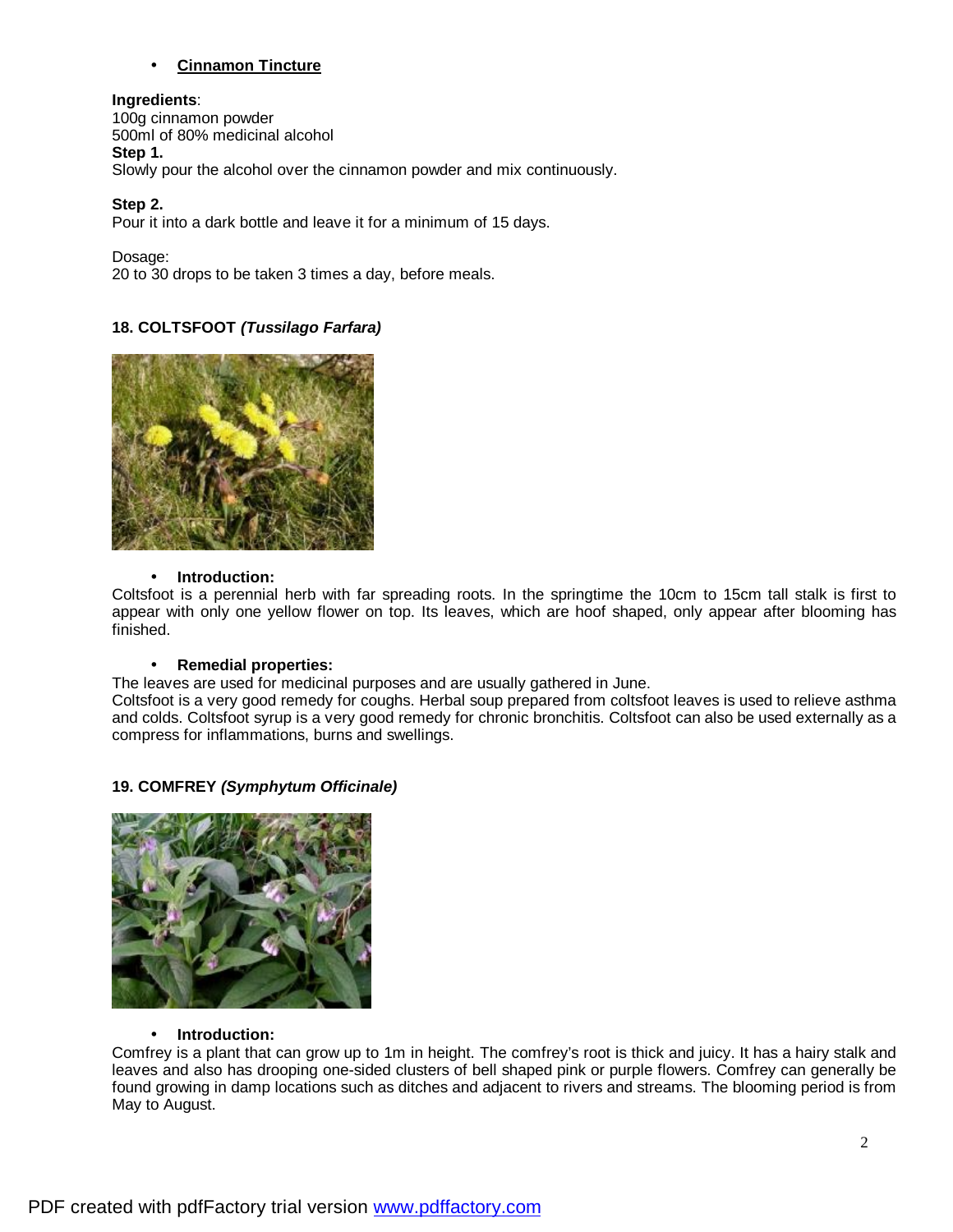# • **Cinnamon Tincture**

### **Ingredients**:

100g cinnamon powder 500ml of 80% medicinal alcohol **Step 1.**  Slowly pour the alcohol over the cinnamon powder and mix continuously.

# **Step 2.**

Pour it into a dark bottle and leave it for a minimum of 15 days.

Dosage:

20 to 30 drops to be taken 3 times a day, before meals.

# **18. COLTSFOOT** *(Tussilago Farfara)*



### • **Introduction:**

Coltsfoot is a perennial herb with far spreading roots. In the springtime the 10cm to 15cm tall stalk is first to appear with only one yellow flower on top. Its leaves, which are hoof shaped, only appear after blooming has finished.

### • **Remedial properties:**

The leaves are used for medicinal purposes and are usually gathered in June.

Coltsfoot is a very good remedy for coughs. Herbal soup prepared from coltsfoot leaves is used to relieve asthma and colds. Coltsfoot syrup is a very good remedy for chronic bronchitis. Coltsfoot can also be used externally as a compress for inflammations, burns and swellings.

# **19. COMFREY** *(Symphytum Officinale)*



### • **Introduction:**

Comfrey is a plant that can grow up to 1m in height. The comfrey's root is thick and juicy. It has a hairy stalk and leaves and also has drooping one-sided clusters of bell shaped pink or purple flowers. Comfrey can generally be found growing in damp locations such as ditches and adjacent to rivers and streams. The blooming period is from May to August.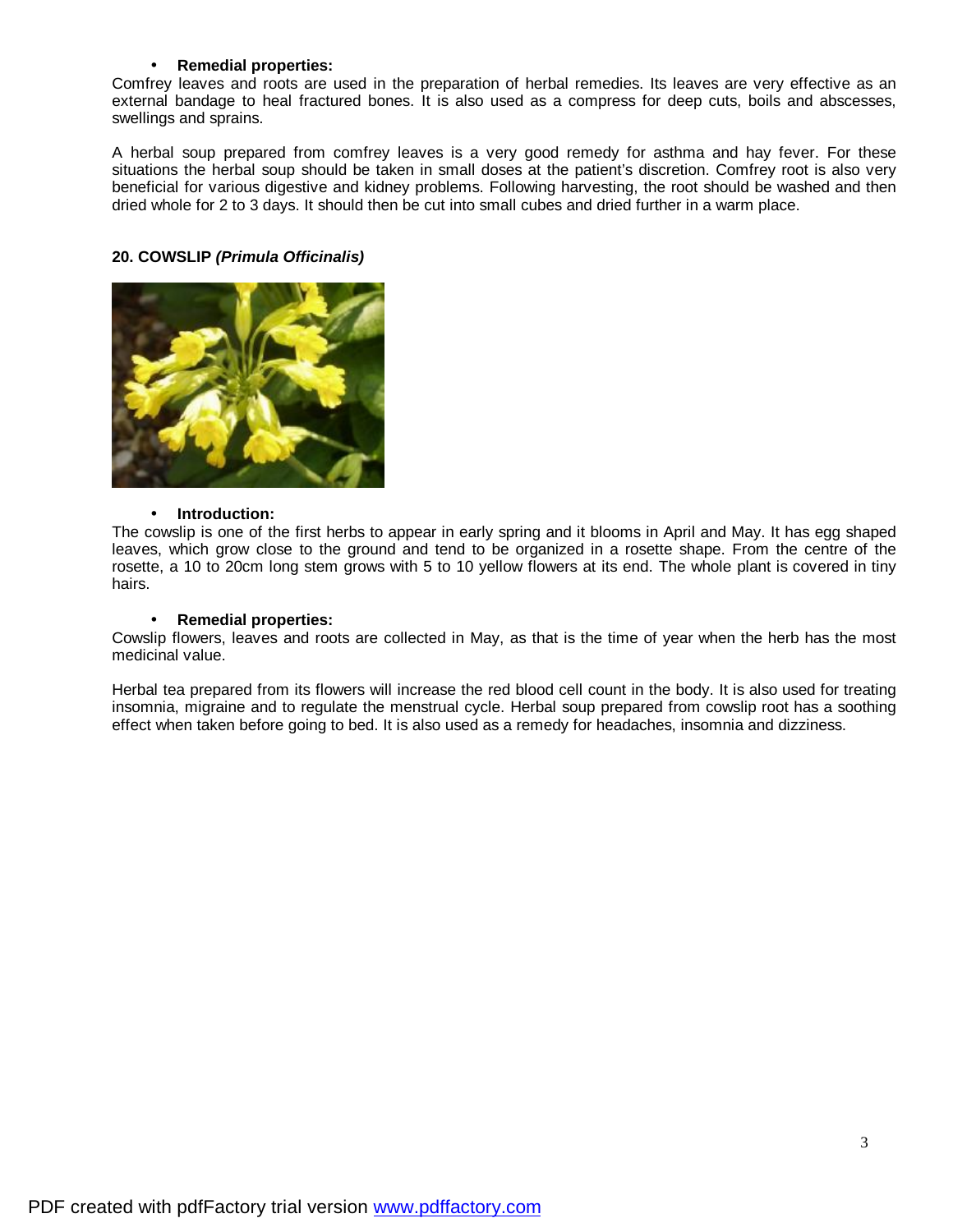### • **Remedial properties:**

Comfrey leaves and roots are used in the preparation of herbal remedies. Its leaves are very effective as an external bandage to heal fractured bones. It is also used as a compress for deep cuts, boils and abscesses, swellings and sprains.

A herbal soup prepared from comfrey leaves is a very good remedy for asthma and hay fever. For these situations the herbal soup should be taken in small doses at the patient's discretion. Comfrey root is also very beneficial for various digestive and kidney problems. Following harvesting, the root should be washed and then dried whole for 2 to 3 days. It should then be cut into small cubes and dried further in a warm place.

### **20. COWSLIP** *(Primula Officinalis)*



### • **Introduction:**

The cowslip is one of the first herbs to appear in early spring and it blooms in April and May. It has egg shaped leaves, which grow close to the ground and tend to be organized in a rosette shape. From the centre of the rosette, a 10 to 20cm long stem grows with 5 to 10 yellow flowers at its end. The whole plant is covered in tiny hairs.

### • **Remedial properties:**

Cowslip flowers, leaves and roots are collected in May, as that is the time of year when the herb has the most medicinal value.

Herbal tea prepared from its flowers will increase the red blood cell count in the body. It is also used for treating insomnia, migraine and to regulate the menstrual cycle. Herbal soup prepared from cowslip root has a soothing effect when taken before going to bed. It is also used as a remedy for headaches, insomnia and dizziness.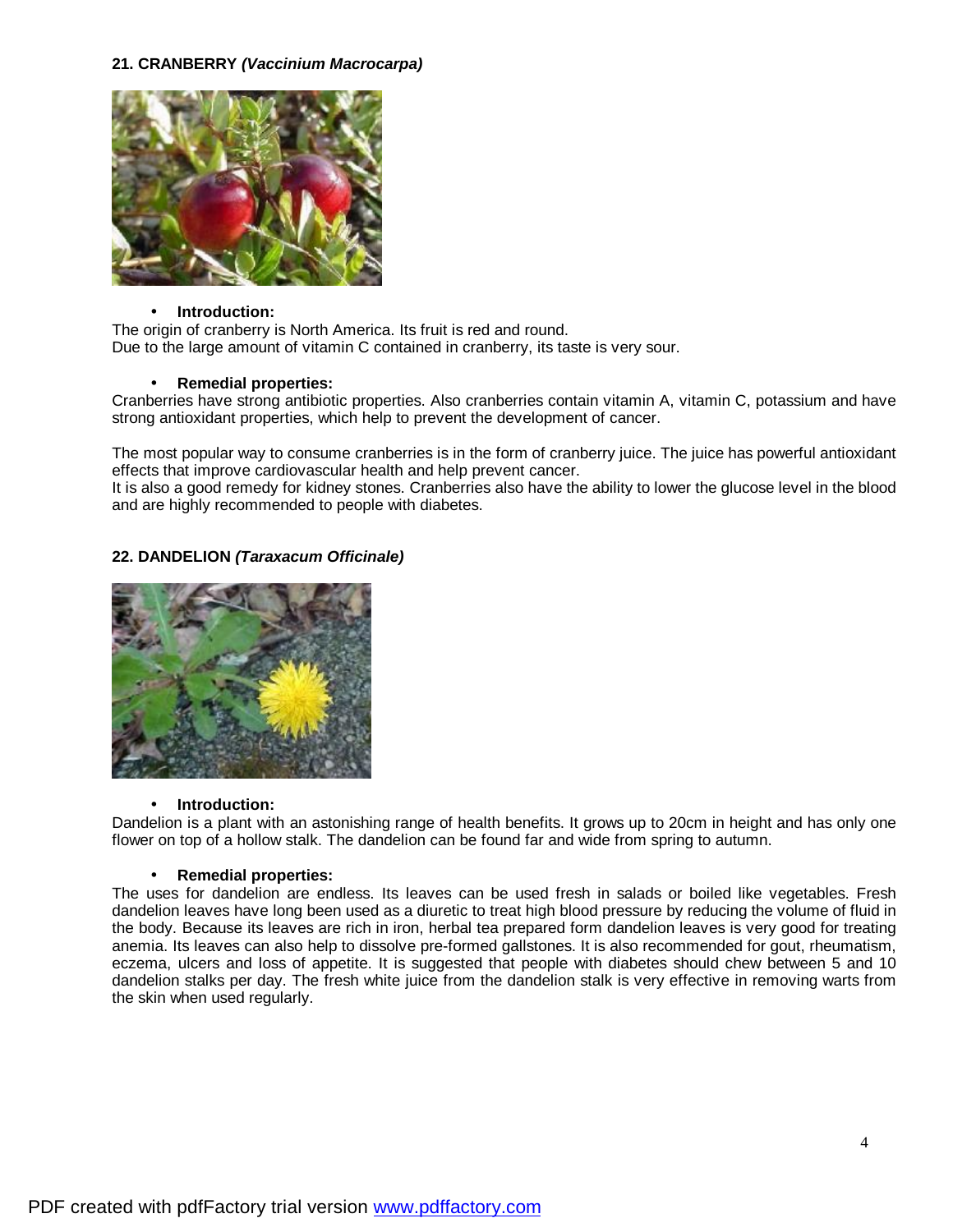# **21. CRANBERRY** *(Vaccinium Macrocarpa)*



### • **Introduction:**

The origin of cranberry is North America. Its fruit is red and round. Due to the large amount of vitamin C contained in cranberry, its taste is very sour.

# • **Remedial properties:**

Cranberries have strong antibiotic properties. Also cranberries contain vitamin A, vitamin C, potassium and have strong antioxidant properties, which help to prevent the development of cancer.

The most popular way to consume cranberries is in the form of cranberry juice. The juice has powerful antioxidant effects that improve cardiovascular health and help prevent cancer.

It is also a good remedy for kidney stones. Cranberries also have the ability to lower the glucose level in the blood and are highly recommended to people with diabetes.

# **22. DANDELION** *(Taraxacum Officinale)*



### • **Introduction:**

Dandelion is a plant with an astonishing range of health benefits. It grows up to 20cm in height and has only one flower on top of a hollow stalk. The dandelion can be found far and wide from spring to autumn.

### • **Remedial properties:**

The uses for dandelion are endless. Its leaves can be used fresh in salads or boiled like vegetables. Fresh dandelion leaves have long been used as a diuretic to treat high blood pressure by reducing the volume of fluid in the body. Because its leaves are rich in iron, herbal tea prepared form dandelion leaves is very good for treating anemia. Its leaves can also help to dissolve pre-formed gallstones. It is also recommended for gout, rheumatism, eczema, ulcers and loss of appetite. It is suggested that people with diabetes should chew between 5 and 10 dandelion stalks per day. The fresh white juice from the dandelion stalk is very effective in removing warts from the skin when used regularly.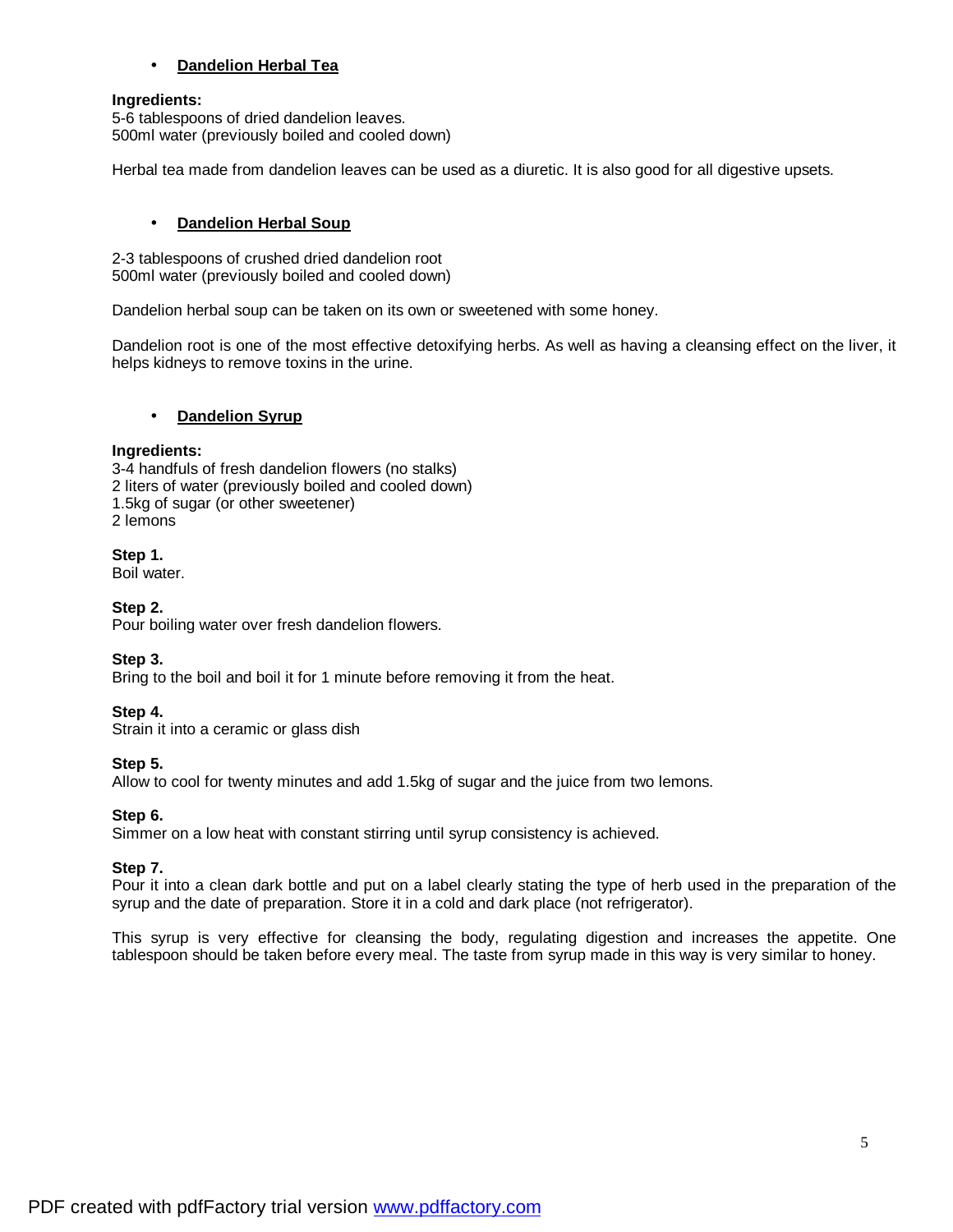# • **Dandelion Herbal Tea**

### **Ingredients:**

5-6 tablespoons of dried dandelion leaves. 500ml water (previously boiled and cooled down)

Herbal tea made from dandelion leaves can be used as a diuretic. It is also good for all digestive upsets.

# • **Dandelion Herbal Soup**

2-3 tablespoons of crushed dried dandelion root 500ml water (previously boiled and cooled down)

Dandelion herbal soup can be taken on its own or sweetened with some honey.

Dandelion root is one of the most effective detoxifying herbs. As well as having a cleansing effect on the liver, it helps kidneys to remove toxins in the urine.

### • **Dandelion Syrup**

### **Ingredients:**

3-4 handfuls of fresh dandelion flowers (no stalks) 2 liters of water (previously boiled and cooled down) 1.5kg of sugar (or other sweetener) 2 lemons

### **Step 1.**

Boil water.

# **Step 2.**

Pour boiling water over fresh dandelion flowers.

# **Step 3.**

Bring to the boil and boil it for 1 minute before removing it from the heat.

# **Step 4.**

Strain it into a ceramic or glass dish

# **Step 5.**

Allow to cool for twenty minutes and add 1.5kg of sugar and the juice from two lemons.

# **Step 6.**

Simmer on a low heat with constant stirring until syrup consistency is achieved.

# **Step 7.**

Pour it into a clean dark bottle and put on a label clearly stating the type of herb used in the preparation of the syrup and the date of preparation. Store it in a cold and dark place (not refrigerator).

This syrup is very effective for cleansing the body, regulating digestion and increases the appetite. One tablespoon should be taken before every meal. The taste from syrup made in this way is very similar to honey.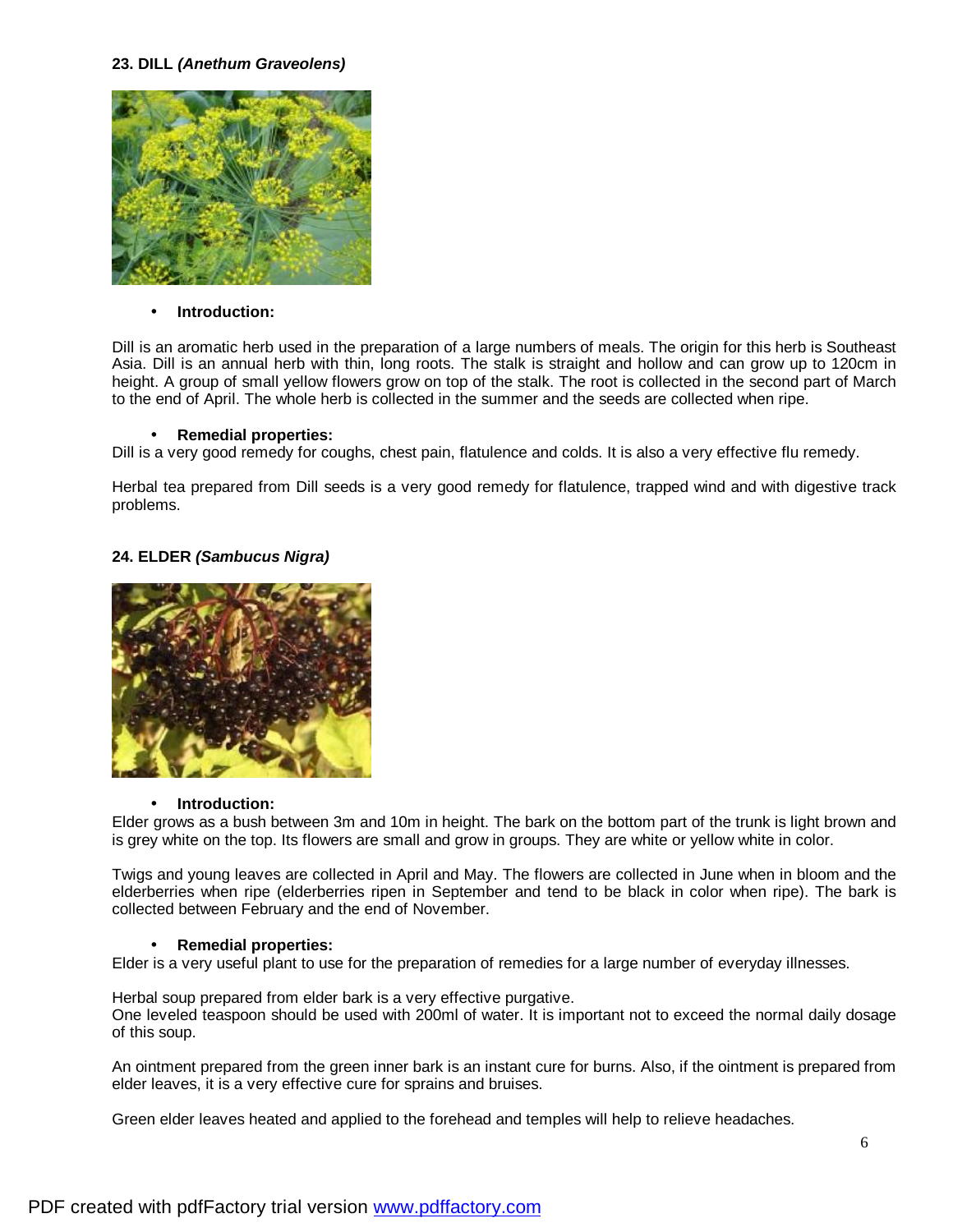### **23. DILL** *(Anethum Graveolens)*



### • **Introduction:**

Dill is an aromatic herb used in the preparation of a large numbers of meals. The origin for this herb is Southeast Asia. Dill is an annual herb with thin, long roots. The stalk is straight and hollow and can grow up to 120cm in height. A group of small yellow flowers grow on top of the stalk. The root is collected in the second part of March to the end of April. The whole herb is collected in the summer and the seeds are collected when ripe.

#### • **Remedial properties:**

Dill is a very good remedy for coughs, chest pain, flatulence and colds. It is also a very effective flu remedy.

Herbal tea prepared from Dill seeds is a very good remedy for flatulence, trapped wind and with digestive track problems.

### **24. ELDER** *(Sambucus Nigra)*



### • **Introduction:**

Elder grows as a bush between 3m and 10m in height. The bark on the bottom part of the trunk is light brown and is grey white on the top. Its flowers are small and grow in groups. They are white or yellow white in color.

Twigs and young leaves are collected in April and May. The flowers are collected in June when in bloom and the elderberries when ripe (elderberries ripen in September and tend to be black in color when ripe). The bark is collected between February and the end of November.

### • **Remedial properties:**

Elder is a very useful plant to use for the preparation of remedies for a large number of everyday illnesses.

Herbal soup prepared from elder bark is a very effective purgative. One leveled teaspoon should be used with 200ml of water. It is important not to exceed the normal daily dosage of this soup.

An ointment prepared from the green inner bark is an instant cure for burns. Also, if the ointment is prepared from elder leaves, it is a very effective cure for sprains and bruises.

Green elder leaves heated and applied to the forehead and temples will help to relieve headaches.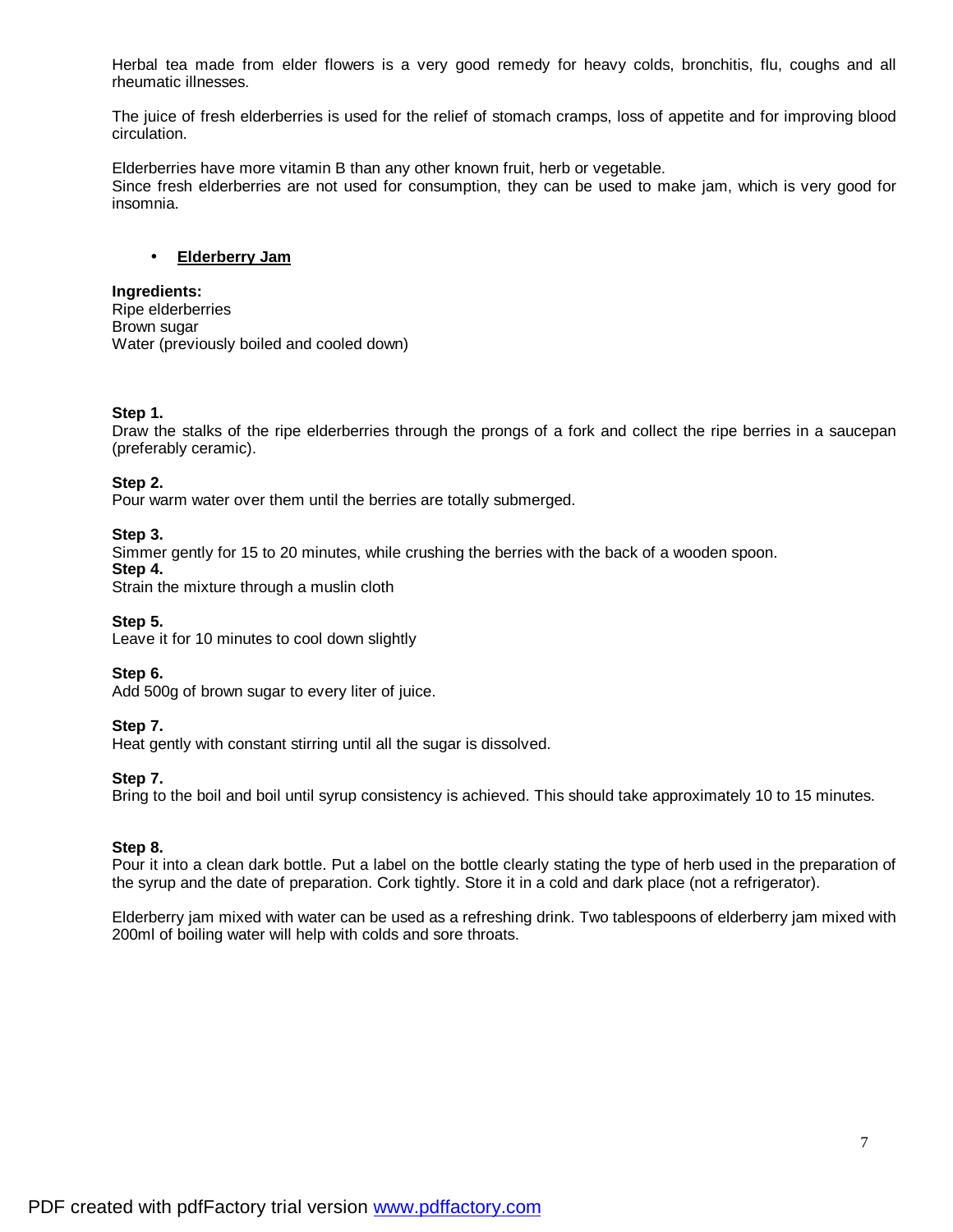Herbal tea made from elder flowers is a very good remedy for heavy colds, bronchitis, flu, coughs and all rheumatic illnesses.

The juice of fresh elderberries is used for the relief of stomach cramps, loss of appetite and for improving blood circulation.

Elderberries have more vitamin B than any other known fruit, herb or vegetable. Since fresh elderberries are not used for consumption, they can be used to make jam, which is very good for insomnia.

### • **Elderberry Jam**

#### **Ingredients:**

Ripe elderberries Brown sugar Water (previously boiled and cooled down)

### **Step 1.**

Draw the stalks of the ripe elderberries through the prongs of a fork and collect the ripe berries in a saucepan (preferably ceramic).

#### **Step 2.**

Pour warm water over them until the berries are totally submerged.

#### **Step 3.**

Simmer gently for 15 to 20 minutes, while crushing the berries with the back of a wooden spoon.

#### **Step 4.**

Strain the mixture through a muslin cloth

**Step 5.**

Leave it for 10 minutes to cool down slightly

**Step 6.**

Add 500g of brown sugar to every liter of juice.

#### **Step 7.**

Heat gently with constant stirring until all the sugar is dissolved.

#### **Step 7.**

Bring to the boil and boil until syrup consistency is achieved. This should take approximately 10 to 15 minutes.

### **Step 8.**

Pour it into a clean dark bottle. Put a label on the bottle clearly stating the type of herb used in the preparation of the syrup and the date of preparation. Cork tightly. Store it in a cold and dark place (not a refrigerator).

Elderberry jam mixed with water can be used as a refreshing drink. Two tablespoons of elderberry jam mixed with 200ml of boiling water will help with colds and sore throats.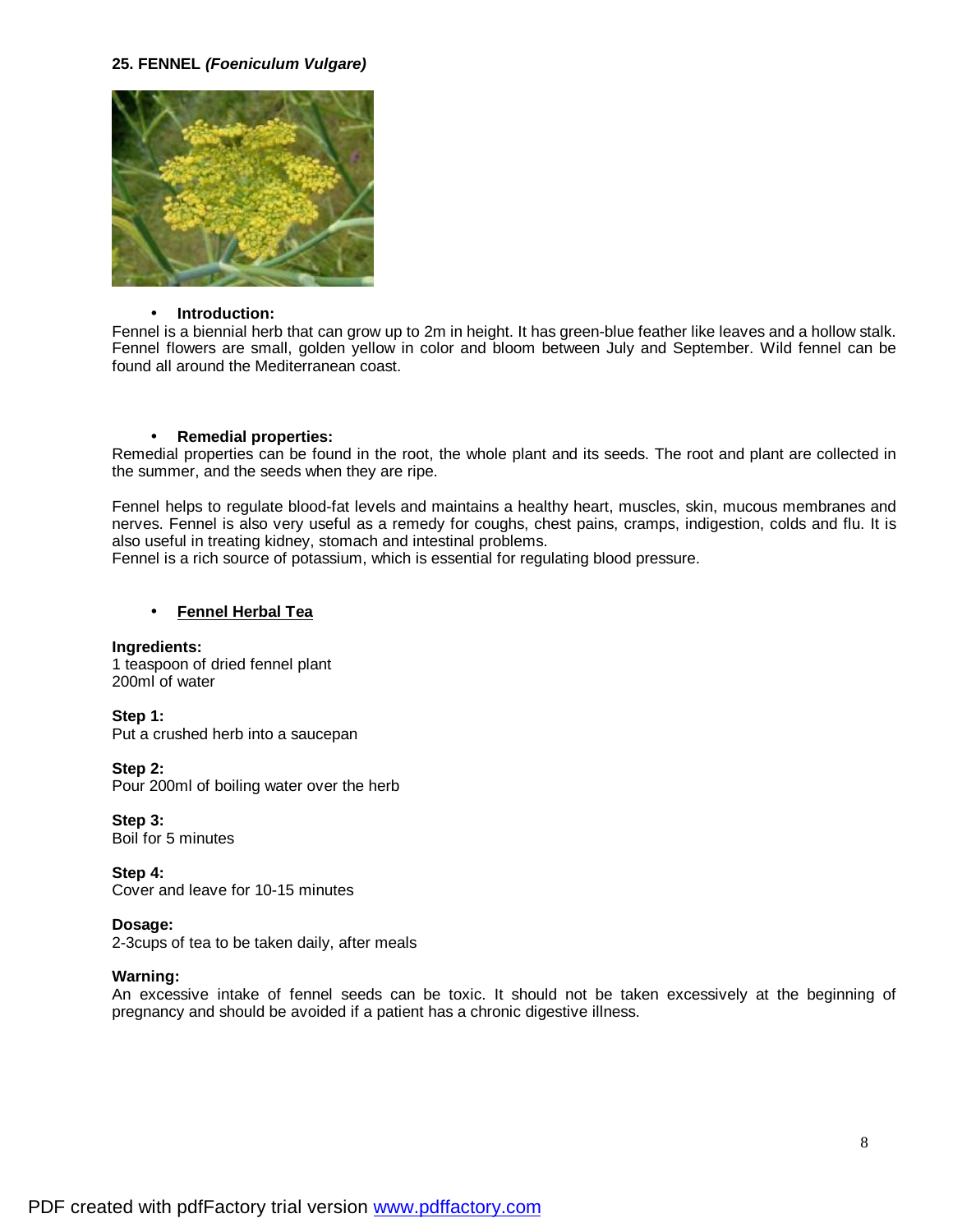#### **25. FENNEL** *(Foeniculum Vulgare)*



#### • **Introduction:**

Fennel is a biennial herb that can grow up to 2m in height. It has green-blue feather like leaves and a hollow stalk. Fennel flowers are small, golden yellow in color and bloom between July and September. Wild fennel can be found all around the Mediterranean coast.

#### • **Remedial properties:**

Remedial properties can be found in the root, the whole plant and its seeds. The root and plant are collected in the summer, and the seeds when they are ripe.

Fennel helps to regulate blood-fat levels and maintains a healthy heart, muscles, skin, mucous membranes and nerves. Fennel is also very useful as a remedy for coughs, chest pains, cramps, indigestion, colds and flu. It is also useful in treating kidney, stomach and intestinal problems.

Fennel is a rich source of potassium, which is essential for regulating blood pressure.

### • **Fennel Herbal Tea**

# **Ingredients:**

1 teaspoon of dried fennel plant 200ml of water

**Step 1:**  Put a crushed herb into a saucepan

### **Step 2:**

Pour 200ml of boiling water over the herb

# **Step 3:**

Boil for 5 minutes

**Step 4:**  Cover and leave for 10-15 minutes

### **Dosage:**

2-3cups of tea to be taken daily, after meals

#### **Warning:**

An excessive intake of fennel seeds can be toxic. It should not be taken excessively at the beginning of pregnancy and should be avoided if a patient has a chronic digestive illness.